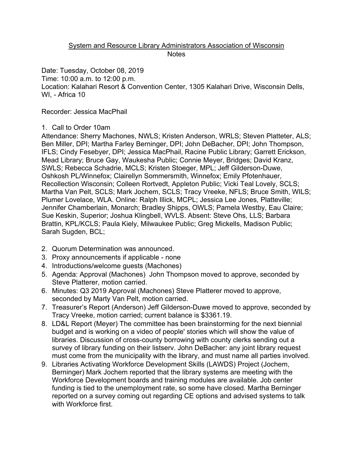## System and Resource Library Administrators Association of Wisconsin **Notes**

Date: Tuesday, October 08, 2019 Time: 10:00 a.m. to 12:00 p.m. Location: Kalahari Resort & Convention Center, 1305 Kalahari Drive, Wisconsin Dells, WI, - Africa 10

Recorder: Jessica MacPhail

## 1. Call to Order 10am

Attendance: Sherry Machones, NWLS; Kristen Anderson, WRLS; Steven Platteter, ALS; Ben Miller, DPI; Martha Farley Berninger, DPI; John DeBacher, DPI; John Thompson, IFLS; Cindy Fesebyer, DPI; Jessica MacPhail, Racine Public Library; Garrett Erickson, Mead Library; Bruce Gay, Waukesha Public; Connie Meyer, Bridges; David Kranz, SWLS; Rebecca Schadrie, MCLS; Kristen Stoeger, MPL; Jeff Gilderson-Duwe, Oshkosh PL/Winnefox; Clairellyn Sommersmith, Winnefox; Emily Pfotenhauer, Recollection Wisconsin; Colleen Rortvedt, Appleton Public; Vicki Teal Lovely, SCLS; Martha Van Pelt, SCLS; Mark Jochem, SCLS; Tracy Vreeke, NFLS; Bruce Smith, WILS; Plumer Lovelace, WLA. Online: Ralph Illick, MCPL; Jessica Lee Jones, Platteville; Jennifer Chamberlain, Monarch; Bradley Shipps, OWLS; Pamela Westby, Eau Claire; Sue Keskin, Superior; Joshua Klingbell, WVLS. Absent: Steve Ohs, LLS; Barbara Brattin, KPL/KCLS; Paula Kiely, Milwaukee Public; Greg Mickells, Madison Public; Sarah Sugden, BCL;

- 2. Quorum Determination was announced.
- 3. Proxy announcements if applicable none
- 4. Introductions/welcome guests (Machones)
- 5. Agenda: Approval (Machones) John Thompson moved to approve, seconded by Steve Platterer, motion carried.
- 6. Minutes: Q3 2019 Approval (Machones) Steve Platterer moved to approve, seconded by Marty Van Pelt, motion carried.
- 7. Treasurer's Report (Anderson) Jeff Gilderson-Duwe moved to approve, seconded by Tracy Vreeke, motion carried; current balance is \$3361.19.
- 8. LD&L Report (Meyer) The committee has been brainstorming for the next biennial budget and is working on a video of people' stories which will show the value of libraries. Discussion of cross-county borrowing with county clerks sending out a survey of library funding on their listserv. John DeBacher: any joint library request must come from the municipality with the library, and must name all parties involved.
- 9. Libraries Activating Workforce Development Skills (LAWDS) Project (Jochem, Berninger) Mark Jochem reported that the library systems are meeting with the Workforce Development boards and training modules are available. Job center funding is tied to the unemployment rate, so some have closed. Martha Berninger reported on a survey coming out regarding CE options and advised systems to talk with Workforce first.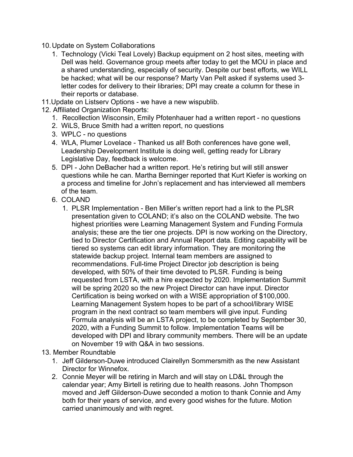- 10.Update on System Collaborations
	- 1. Technology (Vicki Teal Lovely) Backup equipment on 2 host sites, meeting with Dell was held. Governance group meets after today to get the MOU in place and a shared understanding, especially of security. Despite our best efforts, we WILL be hacked; what will be our response? Marty Van Pelt asked if systems used 3 letter codes for delivery to their libraries; DPI may create a column for these in their reports or database.
- 11.Update on Listserv Options we have a new wispublib.
- 12. Affiliated Organization Reports:
	- 1. Recollection Wisconsin, Emily Pfotenhauer had a written report no questions
	- 2. WiLS, Bruce Smith had a written report, no questions
	- 3. WPLC no questions
	- 4. WLA, Plumer Lovelace Thanked us all! Both conferences have gone well, Leadership Development Institute is doing well, getting ready for Library Legislative Day, feedback is welcome.
	- 5. DPI John DeBacher had a written report. He's retiring but will still answer questions while he can. Martha Berninger reported that Kurt Kiefer is working on a process and timeline for John's replacement and has interviewed all members of the team.
	- 6. COLAND
		- 1. PLSR Implementation Ben Miller's written report had a link to the PLSR presentation given to COLAND; it's also on the COLAND website. The two highest priorities were Learning Management System and Funding Formula analysis; these are the tier one projects. DPI is now working on the Directory, tied to Director Certification and Annual Report data. Editing capability will be tiered so systems can edit library information. They are monitoring the statewide backup project. Internal team members are assigned to recommendations. Full-time Project Director job description is being developed, with 50% of their time devoted to PLSR. Funding is being requested from LSTA, with a hire expected by 2020. Implementation Summit will be spring 2020 so the new Project Director can have input. Director Certification is being worked on with a WISE appropriation of \$100,000. Learning Management System hopes to be part of a school/library WISE program in the next contract so team members will give input. Funding Formula analysis will be an LSTA project, to be completed by September 30, 2020, with a Funding Summit to follow. Implementation Teams will be developed with DPI and library community members. There will be an update on November 19 with Q&A in two sessions.
- 13. Member Roundtable
	- 1. Jeff Gilderson-Duwe introduced Clairellyn Sommersmith as the new Assistant Director for Winnefox.
	- 2. Connie Meyer will be retiring in March and will stay on LD&L through the calendar year; Amy Birtell is retiring due to health reasons. John Thompson moved and Jeff Gilderson-Duwe seconded a motion to thank Connie and Amy both for their years of service, and every good wishes for the future. Motion carried unanimously and with regret.